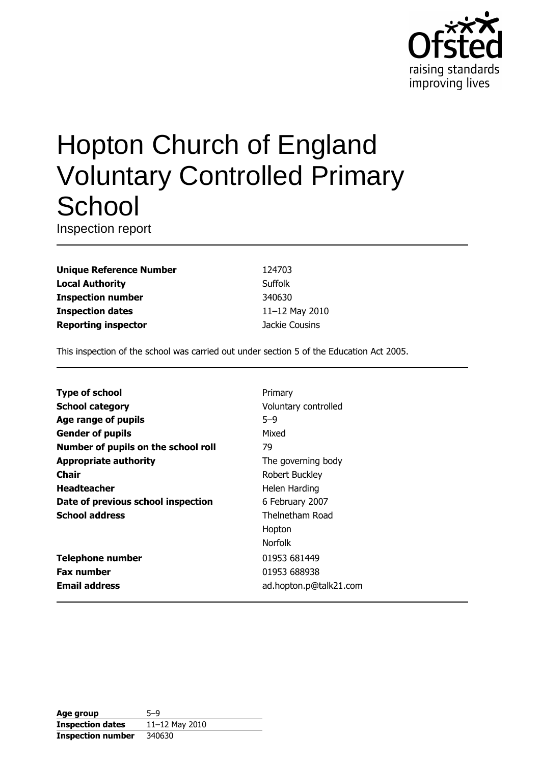

# **Hopton Church of England Voluntary Controlled Primary** School

Inspection report

**Unique Reference Number Local Authority Inspection number Inspection dates Reporting inspector** 

124703 Suffolk 340630 11-12 May 2010 Jackie Cousins

This inspection of the school was carried out under section 5 of the Education Act 2005.

| <b>Type of school</b>               | Primary                |
|-------------------------------------|------------------------|
| <b>School category</b>              | Voluntary controlled   |
| Age range of pupils                 | $5 - 9$                |
| <b>Gender of pupils</b>             | Mixed                  |
| Number of pupils on the school roll | 79                     |
| <b>Appropriate authority</b>        | The governing body     |
| Chair                               | Robert Buckley         |
| <b>Headteacher</b>                  | Helen Harding          |
| Date of previous school inspection  | 6 February 2007        |
| <b>School address</b>               | Thelnetham Road        |
|                                     | Hopton                 |
|                                     | <b>Norfolk</b>         |
| <b>Telephone number</b>             | 01953 681449           |
| <b>Fax number</b>                   | 01953 688938           |
| <b>Email address</b>                | ad.hopton.p@talk21.com |
|                                     |                        |

| Age group                | 5-9            |
|--------------------------|----------------|
| <b>Inspection dates</b>  | 11-12 May 2010 |
| <b>Inspection number</b> | 340630         |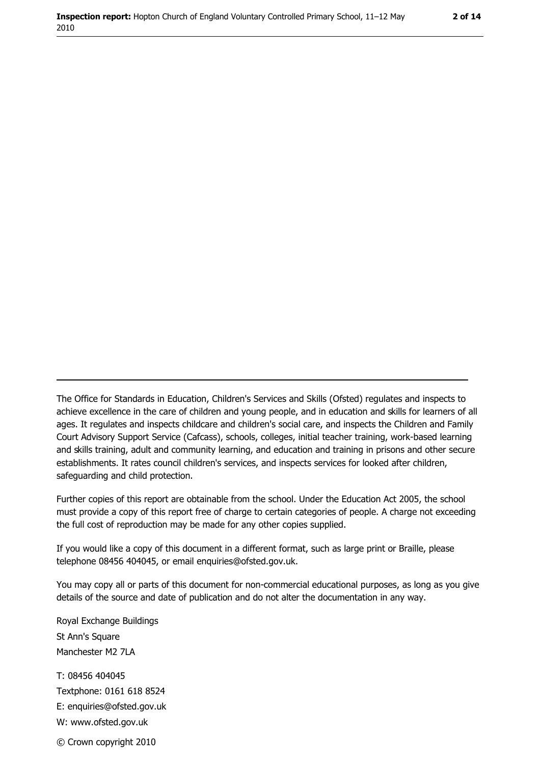The Office for Standards in Education, Children's Services and Skills (Ofsted) regulates and inspects to achieve excellence in the care of children and young people, and in education and skills for learners of all ages. It regulates and inspects childcare and children's social care, and inspects the Children and Family Court Advisory Support Service (Cafcass), schools, colleges, initial teacher training, work-based learning and skills training, adult and community learning, and education and training in prisons and other secure establishments. It rates council children's services, and inspects services for looked after children, safequarding and child protection.

Further copies of this report are obtainable from the school. Under the Education Act 2005, the school must provide a copy of this report free of charge to certain categories of people. A charge not exceeding the full cost of reproduction may be made for any other copies supplied.

If you would like a copy of this document in a different format, such as large print or Braille, please telephone 08456 404045, or email enquiries@ofsted.gov.uk.

You may copy all or parts of this document for non-commercial educational purposes, as long as you give details of the source and date of publication and do not alter the documentation in any way.

Royal Exchange Buildings St Ann's Square Manchester M2 7LA T: 08456 404045 Textphone: 0161 618 8524 E: enquiries@ofsted.gov.uk W: www.ofsted.gov.uk © Crown copyright 2010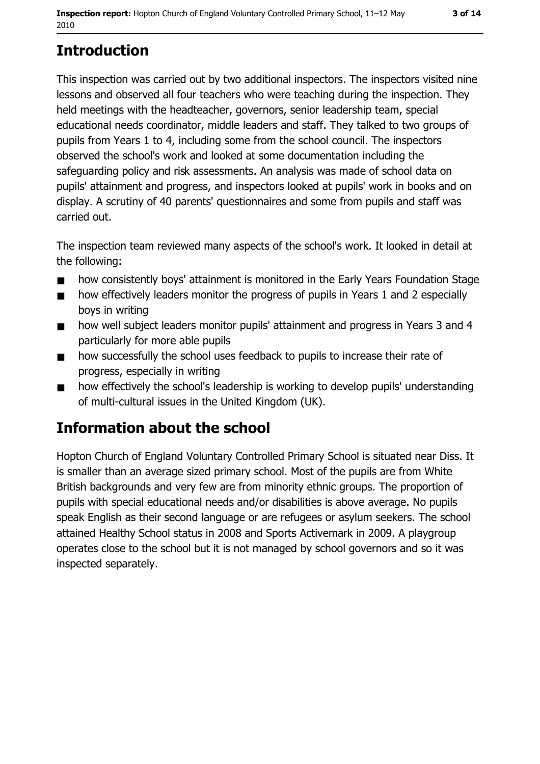# **Introduction**

This inspection was carried out by two additional inspectors. The inspectors visited nine lessons and observed all four teachers who were teaching during the inspection. They held meetings with the headteacher, governors, senior leadership team, special educational needs coordinator, middle leaders and staff. They talked to two groups of pupils from Years 1 to 4, including some from the school council. The inspectors observed the school's work and looked at some documentation including the safeguarding policy and risk assessments. An analysis was made of school data on pupils' attainment and progress, and inspectors looked at pupils' work in books and on display. A scrutiny of 40 parents' questionnaires and some from pupils and staff was carried out.

The inspection team reviewed many aspects of the school's work. It looked in detail at the following:

- how consistently boys' attainment is monitored in the Early Years Foundation Stage  $\blacksquare$
- how effectively leaders monitor the progress of pupils in Years 1 and 2 especially  $\blacksquare$ boys in writing
- how well subject leaders monitor pupils' attainment and progress in Years 3 and 4  $\blacksquare$ particularly for more able pupils
- how successfully the school uses feedback to pupils to increase their rate of  $\blacksquare$ progress, especially in writing
- how effectively the school's leadership is working to develop pupils' understanding  $\blacksquare$ of multi-cultural issues in the United Kingdom (UK).

## **Information about the school**

Hopton Church of England Voluntary Controlled Primary School is situated near Diss. It is smaller than an average sized primary school. Most of the pupils are from White British backgrounds and very few are from minority ethnic groups. The proportion of pupils with special educational needs and/or disabilities is above average. No pupils speak English as their second language or are refugees or asylum seekers. The school attained Healthy School status in 2008 and Sports Activemark in 2009. A playgroup operates close to the school but it is not managed by school governors and so it was inspected separately.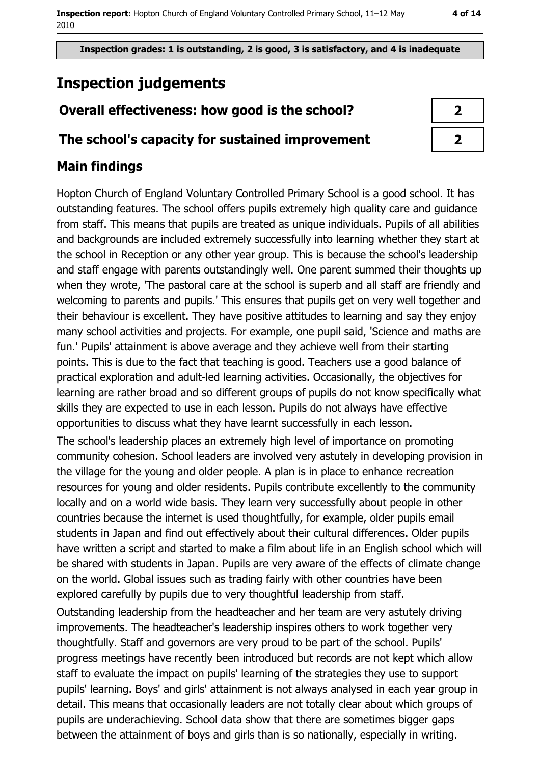# **Inspection judgements**

### Overall effectiveness: how good is the school?

#### The school's capacity for sustained improvement

### **Main findings**

Hopton Church of England Voluntary Controlled Primary School is a good school. It has outstanding features. The school offers pupils extremely high quality care and guidance from staff. This means that pupils are treated as unique individuals. Pupils of all abilities and backgrounds are included extremely successfully into learning whether they start at the school in Reception or any other year group. This is because the school's leadership and staff engage with parents outstandingly well. One parent summed their thoughts up when they wrote, 'The pastoral care at the school is superb and all staff are friendly and welcoming to parents and pupils.' This ensures that pupils get on very well together and their behaviour is excellent. They have positive attitudes to learning and say they enjoy many school activities and projects. For example, one pupil said, 'Science and maths are fun.' Pupils' attainment is above average and they achieve well from their starting points. This is due to the fact that teaching is good. Teachers use a good balance of practical exploration and adult-led learning activities. Occasionally, the objectives for learning are rather broad and so different groups of pupils do not know specifically what skills they are expected to use in each lesson. Pupils do not always have effective opportunities to discuss what they have learnt successfully in each lesson.

The school's leadership places an extremely high level of importance on promoting community cohesion. School leaders are involved very astutely in developing provision in the village for the young and older people. A plan is in place to enhance recreation resources for young and older residents. Pupils contribute excellently to the community locally and on a world wide basis. They learn very successfully about people in other countries because the internet is used thoughtfully, for example, older pupils email students in Japan and find out effectively about their cultural differences. Older pupils have written a script and started to make a film about life in an English school which will be shared with students in Japan. Pupils are very aware of the effects of climate change on the world. Global issues such as trading fairly with other countries have been explored carefully by pupils due to very thoughtful leadership from staff.

Outstanding leadership from the headteacher and her team are very astutely driving improvements. The headteacher's leadership inspires others to work together very thoughtfully. Staff and governors are very proud to be part of the school. Pupils' progress meetings have recently been introduced but records are not kept which allow staff to evaluate the impact on pupils' learning of the strategies they use to support pupils' learning. Boys' and girls' attainment is not always analysed in each year group in detail. This means that occasionally leaders are not totally clear about which groups of pupils are underachieving. School data show that there are sometimes bigger gaps between the attainment of boys and girls than is so nationally, especially in writing.

| 2                        |  |
|--------------------------|--|
| $\overline{\mathcal{X}}$ |  |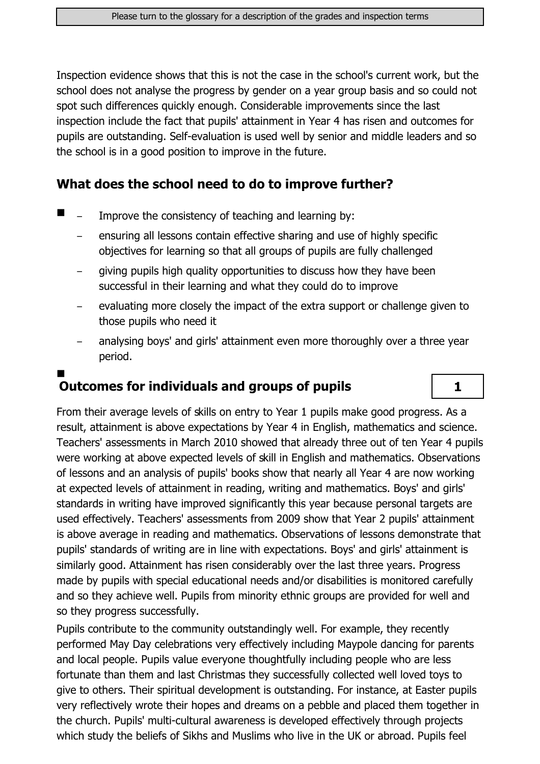Inspection evidence shows that this is not the case in the school's current work, but the school does not analyse the progress by gender on a year group basis and so could not spot such differences quickly enough. Considerable improvements since the last inspection include the fact that pupils' attainment in Year 4 has risen and outcomes for pupils are outstanding. Self-evaluation is used well by senior and middle leaders and so the school is in a good position to improve in the future.

#### What does the school need to do to improve further?

- $\blacksquare$ Improve the consistency of teaching and learning by:
	- ensuring all lessons contain effective sharing and use of highly specific objectives for learning so that all groups of pupils are fully challenged
	- giving pupils high quality opportunities to discuss how they have been successful in their learning and what they could do to improve
	- evaluating more closely the impact of the extra support or challenge given to those pupils who need it
	- analysing boys' and girls' attainment even more thoroughly over a three year period.

 $\mathbf{1}$ 

# **Outcomes for individuals and groups of pupils**

From their average levels of skills on entry to Year 1 pupils make good progress. As a result, attainment is above expectations by Year 4 in English, mathematics and science. Teachers' assessments in March 2010 showed that already three out of ten Year 4 pupils were working at above expected levels of skill in English and mathematics. Observations of lessons and an analysis of pupils' books show that nearly all Year 4 are now working at expected levels of attainment in reading, writing and mathematics. Boys' and girls' standards in writing have improved significantly this year because personal targets are used effectively. Teachers' assessments from 2009 show that Year 2 pupils' attainment is above average in reading and mathematics. Observations of lessons demonstrate that pupils' standards of writing are in line with expectations. Boys' and girls' attainment is similarly good. Attainment has risen considerably over the last three years. Progress made by pupils with special educational needs and/or disabilities is monitored carefully and so they achieve well. Pupils from minority ethnic groups are provided for well and so they progress successfully.

Pupils contribute to the community outstandingly well. For example, they recently performed May Day celebrations very effectively including Maypole dancing for parents and local people. Pupils value everyone thoughtfully including people who are less fortunate than them and last Christmas they successfully collected well loved toys to give to others. Their spiritual development is outstanding. For instance, at Easter pupils very reflectively wrote their hopes and dreams on a pebble and placed them together in the church. Pupils' multi-cultural awareness is developed effectively through projects which study the beliefs of Sikhs and Muslims who live in the UK or abroad. Pupils feel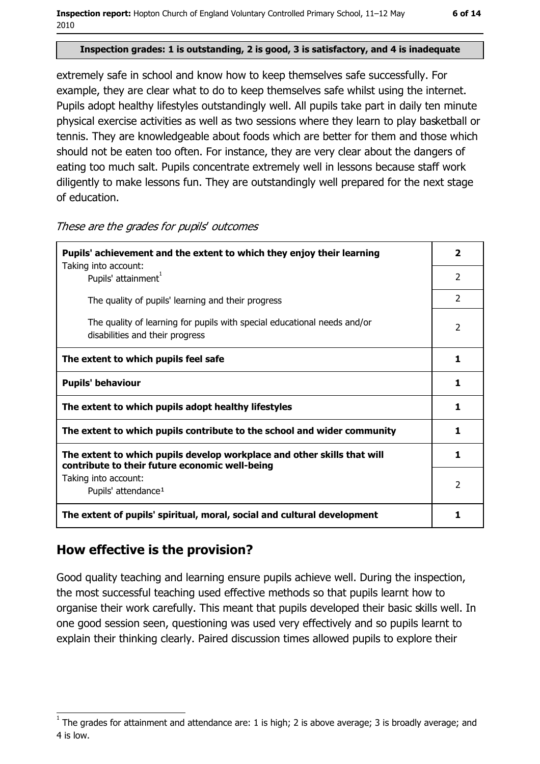Inspection report: Hopton Church of England Voluntary Controlled Primary School, 11-12 May 2010

#### Inspection grades: 1 is outstanding, 2 is good, 3 is satisfactory, and 4 is inadequate

extremely safe in school and know how to keep themselves safe successfully. For example, they are clear what to do to keep themselves safe whilst using the internet. Pupils adopt healthy lifestyles outstandingly well. All pupils take part in daily ten minute physical exercise activities as well as two sessions where they learn to play basketball or tennis. They are knowledgeable about foods which are better for them and those which should not be eaten too often. For instance, they are very clear about the dangers of eating too much salt. Pupils concentrate extremely well in lessons because staff work diligently to make lessons fun. They are outstandingly well prepared for the next stage of education.

These are the grades for pupils' outcomes

| Pupils' achievement and the extent to which they enjoy their learning                                                     |                |
|---------------------------------------------------------------------------------------------------------------------------|----------------|
| Taking into account:<br>Pupils' attainment <sup>1</sup>                                                                   | $\mathcal{P}$  |
| The quality of pupils' learning and their progress                                                                        | $\mathcal{P}$  |
| The quality of learning for pupils with special educational needs and/or<br>disabilities and their progress               | 2              |
| The extent to which pupils feel safe                                                                                      | 1              |
| <b>Pupils' behaviour</b>                                                                                                  |                |
| The extent to which pupils adopt healthy lifestyles                                                                       |                |
| The extent to which pupils contribute to the school and wider community                                                   |                |
| The extent to which pupils develop workplace and other skills that will<br>contribute to their future economic well-being |                |
| Taking into account:<br>Pupils' attendance <sup>1</sup>                                                                   | $\overline{2}$ |
| The extent of pupils' spiritual, moral, social and cultural development                                                   |                |

#### How effective is the provision?

Good quality teaching and learning ensure pupils achieve well. During the inspection, the most successful teaching used effective methods so that pupils learnt how to organise their work carefully. This meant that pupils developed their basic skills well. In one good session seen, questioning was used very effectively and so pupils learnt to explain their thinking clearly. Paired discussion times allowed pupils to explore their

The grades for attainment and attendance are: 1 is high; 2 is above average; 3 is broadly average; and 4 is low.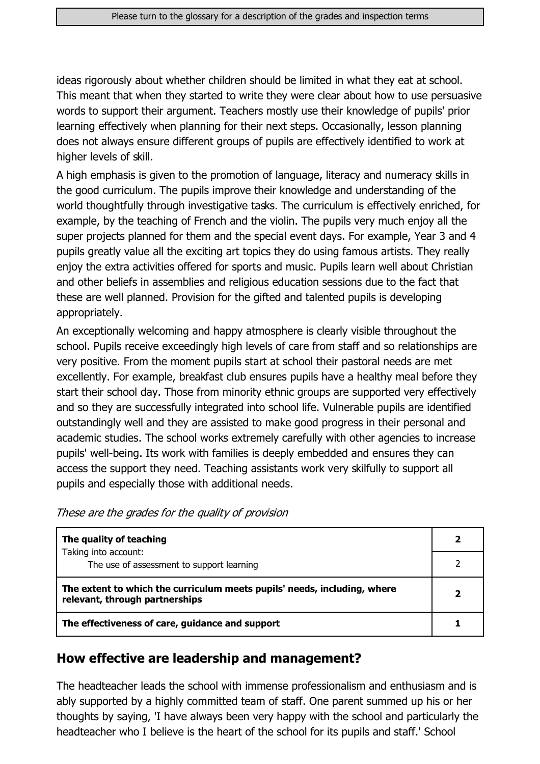ideas rigorously about whether children should be limited in what they eat at school. This meant that when they started to write they were clear about how to use persuasive words to support their argument. Teachers mostly use their knowledge of pupils' prior learning effectively when planning for their next steps. Occasionally, lesson planning does not always ensure different groups of pupils are effectively identified to work at higher levels of skill.

A high emphasis is given to the promotion of language, literacy and numeracy skills in the good curriculum. The pupils improve their knowledge and understanding of the world thoughtfully through investigative tasks. The curriculum is effectively enriched, for example, by the teaching of French and the violin. The pupils very much enjoy all the super projects planned for them and the special event days. For example, Year 3 and 4 pupils greatly value all the exciting art topics they do using famous artists. They really enjoy the extra activities offered for sports and music. Pupils learn well about Christian and other beliefs in assemblies and religious education sessions due to the fact that these are well planned. Provision for the gifted and talented pupils is developing appropriately.

An exceptionally welcoming and happy atmosphere is clearly visible throughout the school. Pupils receive exceedingly high levels of care from staff and so relationships are very positive. From the moment pupils start at school their pastoral needs are met excellently. For example, breakfast club ensures pupils have a healthy meal before they start their school day. Those from minority ethnic groups are supported very effectively and so they are successfully integrated into school life. Vulnerable pupils are identified outstandingly well and they are assisted to make good progress in their personal and academic studies. The school works extremely carefully with other agencies to increase pupils' well-being. Its work with families is deeply embedded and ensures they can access the support they need. Teaching assistants work very skilfully to support all pupils and especially those with additional needs.

| The quality of teaching                                                                                    |  |
|------------------------------------------------------------------------------------------------------------|--|
| Taking into account:<br>The use of assessment to support learning                                          |  |
| The extent to which the curriculum meets pupils' needs, including, where<br>relevant, through partnerships |  |
| The effectiveness of care, guidance and support                                                            |  |

#### How effective are leadership and management?

The headteacher leads the school with immense professionalism and enthusiasm and is ably supported by a highly committed team of staff. One parent summed up his or her thoughts by saying, 'I have always been very happy with the school and particularly the headteacher who I believe is the heart of the school for its pupils and staff.' School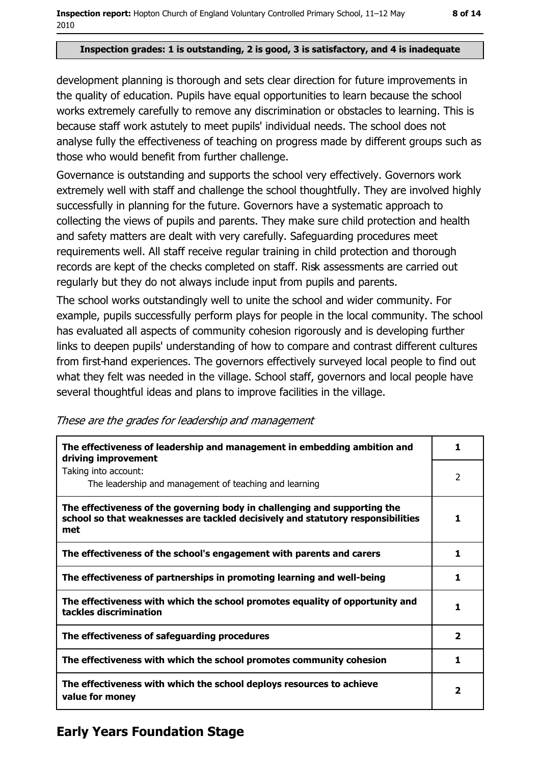#### Inspection grades: 1 is outstanding, 2 is good, 3 is satisfactory, and 4 is inadequate

development planning is thorough and sets clear direction for future improvements in the quality of education. Pupils have equal opportunities to learn because the school works extremely carefully to remove any discrimination or obstacles to learning. This is because staff work astutely to meet pupils' individual needs. The school does not analyse fully the effectiveness of teaching on progress made by different groups such as those who would benefit from further challenge.

Governance is outstanding and supports the school very effectively. Governors work extremely well with staff and challenge the school thoughtfully. They are involved highly successfully in planning for the future. Governors have a systematic approach to collecting the views of pupils and parents. They make sure child protection and health and safety matters are dealt with very carefully. Safeguarding procedures meet requirements well. All staff receive regular training in child protection and thorough records are kept of the checks completed on staff. Risk assessments are carried out regularly but they do not always include input from pupils and parents.

The school works outstandingly well to unite the school and wider community. For example, pupils successfully perform plays for people in the local community. The school has evaluated all aspects of community cohesion rigorously and is developing further links to deepen pupils' understanding of how to compare and contrast different cultures from first-hand experiences. The governors effectively surveyed local people to find out what they felt was needed in the village. School staff, governors and local people have several thoughtful ideas and plans to improve facilities in the village.

| The effectiveness of leadership and management in embedding ambition and<br>driving improvement                                                                     |  |
|---------------------------------------------------------------------------------------------------------------------------------------------------------------------|--|
| Taking into account:                                                                                                                                                |  |
| The leadership and management of teaching and learning                                                                                                              |  |
| The effectiveness of the governing body in challenging and supporting the<br>school so that weaknesses are tackled decisively and statutory responsibilities<br>met |  |
| The effectiveness of the school's engagement with parents and carers                                                                                                |  |
| The effectiveness of partnerships in promoting learning and well-being                                                                                              |  |
| The effectiveness with which the school promotes equality of opportunity and<br>tackles discrimination                                                              |  |
| The effectiveness of safeguarding procedures                                                                                                                        |  |

These are the grades for leadership and management

The effectiveness with which the school deploys resources to achieve value for monev

The effectiveness with which the school promotes community cohesion

## **Early Years Foundation Stage**

 $\mathbf{1}$ 

 $\overline{2}$ 

 $\mathbf{1}$ 

 $\mathbf{1}$ 

 $\mathbf{1}$ 

 $\mathbf{1}$ 

 $\overline{2}$ 

 $\mathbf{1}$ 

 $\overline{2}$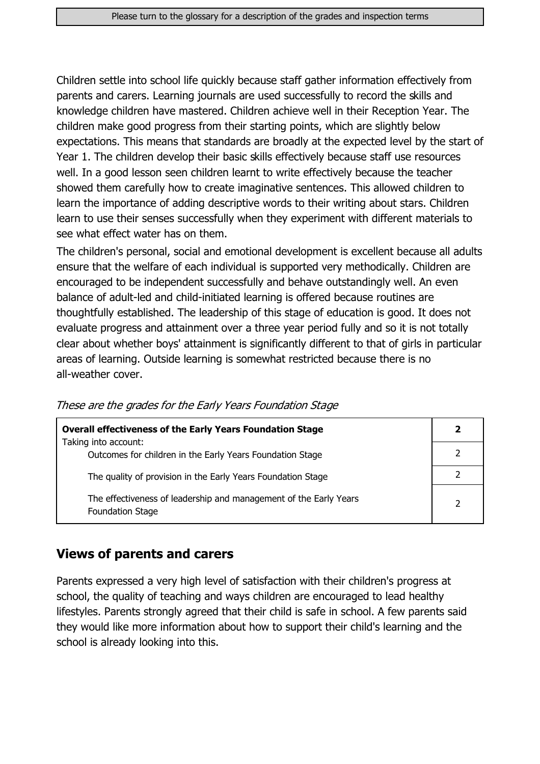Children settle into school life quickly because staff gather information effectively from parents and carers. Learning journals are used successfully to record the skills and knowledge children have mastered. Children achieve well in their Reception Year. The children make good progress from their starting points, which are slightly below expectations. This means that standards are broadly at the expected level by the start of Year 1. The children develop their basic skills effectively because staff use resources well. In a good lesson seen children learnt to write effectively because the teacher showed them carefully how to create imaginative sentences. This allowed children to learn the importance of adding descriptive words to their writing about stars. Children learn to use their senses successfully when they experiment with different materials to see what effect water has on them.

The children's personal, social and emotional development is excellent because all adults ensure that the welfare of each individual is supported very methodically. Children are encouraged to be independent successfully and behave outstandingly well. An even balance of adult-led and child-initiated learning is offered because routines are thoughtfully established. The leadership of this stage of education is good. It does not evaluate progress and attainment over a three year period fully and so it is not totally clear about whether boys' attainment is significantly different to that of girls in particular areas of learning. Outside learning is somewhat restricted because there is no all-weather cover.

| <b>Overall effectiveness of the Early Years Foundation Stage</b>                             |   |
|----------------------------------------------------------------------------------------------|---|
| Taking into account:<br>Outcomes for children in the Early Years Foundation Stage            |   |
| The quality of provision in the Early Years Foundation Stage                                 |   |
| The effectiveness of leadership and management of the Early Years<br><b>Foundation Stage</b> | C |

These are the grades for the Early Years Foundation Stage

#### **Views of parents and carers**

Parents expressed a very high level of satisfaction with their children's progress at school, the quality of teaching and ways children are encouraged to lead healthy lifestyles. Parents strongly agreed that their child is safe in school. A few parents said they would like more information about how to support their child's learning and the school is already looking into this.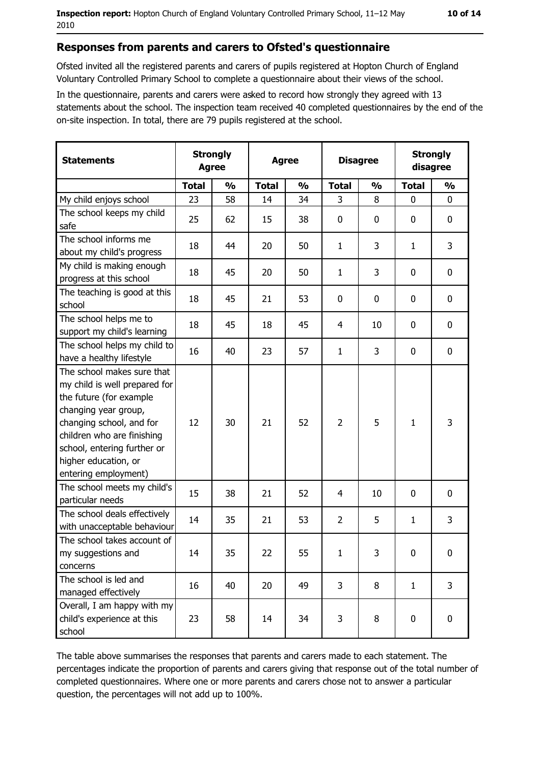#### Responses from parents and carers to Ofsted's questionnaire

Ofsted invited all the registered parents and carers of pupils registered at Hopton Church of England Voluntary Controlled Primary School to complete a questionnaire about their views of the school.

In the questionnaire, parents and carers were asked to record how strongly they agreed with 13 statements about the school. The inspection team received 40 completed questionnaires by the end of the on-site inspection. In total, there are 79 pupils registered at the school.

| <b>Statements</b>                                                                                                                                                                                                                                       | <b>Strongly</b><br><b>Agree</b> |               | <b>Agree</b> |               |                | <b>Disagree</b> |              | <b>Strongly</b><br>disagree |  |
|---------------------------------------------------------------------------------------------------------------------------------------------------------------------------------------------------------------------------------------------------------|---------------------------------|---------------|--------------|---------------|----------------|-----------------|--------------|-----------------------------|--|
|                                                                                                                                                                                                                                                         | <b>Total</b>                    | $\frac{0}{0}$ | <b>Total</b> | $\frac{0}{0}$ | <b>Total</b>   | $\frac{0}{0}$   | <b>Total</b> | $\frac{0}{0}$               |  |
| My child enjoys school                                                                                                                                                                                                                                  | 23                              | 58            | 14           | 34            | 3              | 8               | $\mathbf 0$  | $\mathbf 0$                 |  |
| The school keeps my child<br>safe                                                                                                                                                                                                                       | 25                              | 62            | 15           | 38            | $\mathbf 0$    | 0               | 0            | 0                           |  |
| The school informs me<br>about my child's progress                                                                                                                                                                                                      | 18                              | 44            | 20           | 50            | 1              | 3               | 1            | 3                           |  |
| My child is making enough<br>progress at this school                                                                                                                                                                                                    | 18                              | 45            | 20           | 50            | $\mathbf{1}$   | 3               | 0            | $\mathbf 0$                 |  |
| The teaching is good at this<br>school                                                                                                                                                                                                                  | 18                              | 45            | 21           | 53            | $\mathbf 0$    | 0               | 0            | $\mathbf 0$                 |  |
| The school helps me to<br>support my child's learning                                                                                                                                                                                                   | 18                              | 45            | 18           | 45            | 4              | 10              | 0            | 0                           |  |
| The school helps my child to<br>have a healthy lifestyle                                                                                                                                                                                                | 16                              | 40            | 23           | 57            | $\mathbf{1}$   | 3               | 0            | 0                           |  |
| The school makes sure that<br>my child is well prepared for<br>the future (for example<br>changing year group,<br>changing school, and for<br>children who are finishing<br>school, entering further or<br>higher education, or<br>entering employment) | 12                              | 30            | 21           | 52            | $\overline{2}$ | 5               | $\mathbf{1}$ | 3                           |  |
| The school meets my child's<br>particular needs                                                                                                                                                                                                         | 15                              | 38            | 21           | 52            | 4              | 10              | 0            | 0                           |  |
| The school deals effectively<br>with unacceptable behaviour                                                                                                                                                                                             | 14                              | 35            | 21           | 53            | $\overline{2}$ | 5               | 1            | 3                           |  |
| The school takes account of<br>my suggestions and<br>concerns                                                                                                                                                                                           | 14                              | 35            | 22           | 55            | $\mathbf{1}$   | 3               | 0            | 0                           |  |
| The school is led and<br>managed effectively                                                                                                                                                                                                            | 16                              | 40            | 20           | 49            | 3              | 8               | $\mathbf{1}$ | 3                           |  |
| Overall, I am happy with my<br>child's experience at this<br>school                                                                                                                                                                                     | 23                              | 58            | 14           | 34            | 3              | 8               | 0            | $\pmb{0}$                   |  |

The table above summarises the responses that parents and carers made to each statement. The percentages indicate the proportion of parents and carers giving that response out of the total number of completed questionnaires. Where one or more parents and carers chose not to answer a particular question, the percentages will not add up to 100%.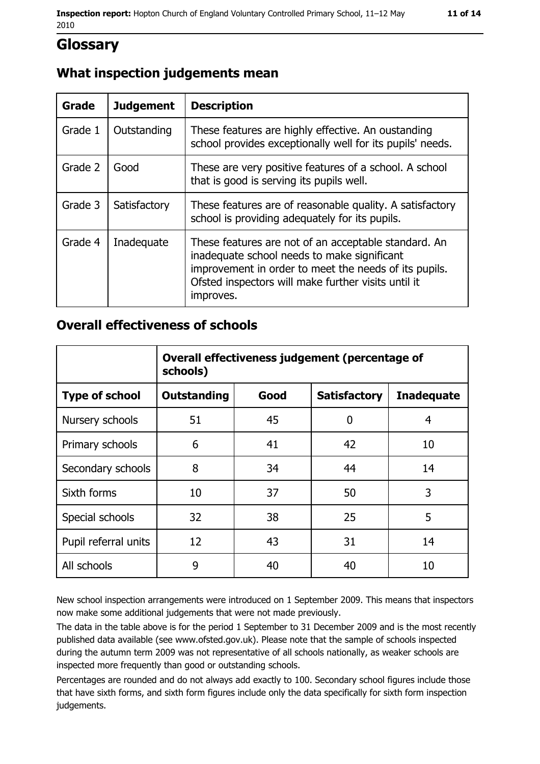## **Glossary**

#### What inspection judgements mean

| <b>Grade</b> | <b>Judgement</b> | <b>Description</b>                                                                                                                                                                                                               |
|--------------|------------------|----------------------------------------------------------------------------------------------------------------------------------------------------------------------------------------------------------------------------------|
| Grade 1      | Outstanding      | These features are highly effective. An oustanding<br>school provides exceptionally well for its pupils' needs.                                                                                                                  |
| Grade 2      | Good             | These are very positive features of a school. A school<br>that is good is serving its pupils well.                                                                                                                               |
| Grade 3      | Satisfactory     | These features are of reasonable quality. A satisfactory<br>school is providing adequately for its pupils.                                                                                                                       |
| Grade 4      | Inadequate       | These features are not of an acceptable standard. An<br>inadequate school needs to make significant<br>improvement in order to meet the needs of its pupils.<br>Ofsted inspectors will make further visits until it<br>improves. |

#### **Overall effectiveness of schools**

|                       | Overall effectiveness judgement (percentage of<br>schools) |      |                     |                   |
|-----------------------|------------------------------------------------------------|------|---------------------|-------------------|
| <b>Type of school</b> | <b>Outstanding</b>                                         | Good | <b>Satisfactory</b> | <b>Inadequate</b> |
| Nursery schools       | 51                                                         | 45   | 0                   | 4                 |
| Primary schools       | 6                                                          | 41   | 42                  | 10                |
| Secondary schools     | 8                                                          | 34   | 44                  | 14                |
| Sixth forms           | 10                                                         | 37   | 50                  | 3                 |
| Special schools       | 32                                                         | 38   | 25                  | 5                 |
| Pupil referral units  | 12                                                         | 43   | 31                  | 14                |
| All schools           | 9                                                          | 40   | 40                  | 10                |

New school inspection arrangements were introduced on 1 September 2009. This means that inspectors now make some additional judgements that were not made previously.

The data in the table above is for the period 1 September to 31 December 2009 and is the most recently published data available (see www.ofsted.gov.uk). Please note that the sample of schools inspected during the autumn term 2009 was not representative of all schools nationally, as weaker schools are inspected more frequently than good or outstanding schools.

Percentages are rounded and do not always add exactly to 100. Secondary school figures include those that have sixth forms, and sixth form figures include only the data specifically for sixth form inspection judgements.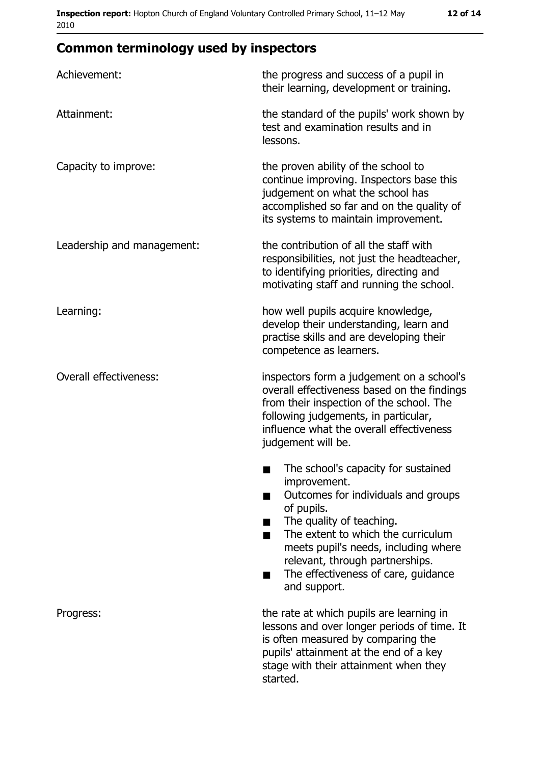| Achievement:                  | the progress and success of a pupil in<br>their learning, development or training.                                                                                                                                                                                                                           |
|-------------------------------|--------------------------------------------------------------------------------------------------------------------------------------------------------------------------------------------------------------------------------------------------------------------------------------------------------------|
| Attainment:                   | the standard of the pupils' work shown by<br>test and examination results and in<br>lessons.                                                                                                                                                                                                                 |
| Capacity to improve:          | the proven ability of the school to<br>continue improving. Inspectors base this<br>judgement on what the school has<br>accomplished so far and on the quality of<br>its systems to maintain improvement.                                                                                                     |
| Leadership and management:    | the contribution of all the staff with<br>responsibilities, not just the headteacher,<br>to identifying priorities, directing and<br>motivating staff and running the school.                                                                                                                                |
| Learning:                     | how well pupils acquire knowledge,<br>develop their understanding, learn and<br>practise skills and are developing their<br>competence as learners.                                                                                                                                                          |
| <b>Overall effectiveness:</b> | inspectors form a judgement on a school's<br>overall effectiveness based on the findings<br>from their inspection of the school. The<br>following judgements, in particular,<br>influence what the overall effectiveness<br>judgement will be.                                                               |
|                               | The school's capacity for sustained<br>improvement.<br>Outcomes for individuals and groups<br>of pupils.<br>The quality of teaching.<br>The extent to which the curriculum<br>meets pupil's needs, including where<br>relevant, through partnerships.<br>The effectiveness of care, guidance<br>and support. |
| Progress:                     | the rate at which pupils are learning in<br>lessons and over longer periods of time. It<br>is often measured by comparing the<br>pupils' attainment at the end of a key<br>stage with their attainment when they<br>started.                                                                                 |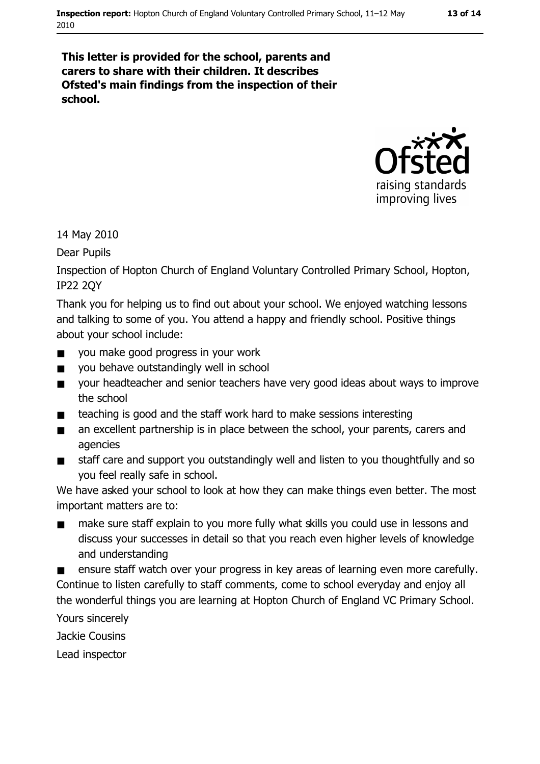#### 13 of 14

This letter is provided for the school, parents and carers to share with their children. It describes Ofsted's main findings from the inspection of their school.



14 May 2010

Dear Pupils

Inspection of Hopton Church of England Voluntary Controlled Primary School, Hopton, **IP22 20Y** 

Thank you for helping us to find out about your school. We enjoved watching lessons and talking to some of you. You attend a happy and friendly school. Positive things about your school include:

- you make good progress in your work  $\blacksquare$
- you behave outstandingly well in school
- your headteacher and senior teachers have very good ideas about ways to improve  $\blacksquare$ the school
- teaching is good and the staff work hard to make sessions interesting  $\blacksquare$
- an excellent partnership is in place between the school, your parents, carers and  $\blacksquare$ agencies
- staff care and support you outstandingly well and listen to you thoughtfully and so  $\blacksquare$ you feel really safe in school.

We have asked your school to look at how they can make things even better. The most important matters are to:

make sure staff explain to you more fully what skills you could use in lessons and  $\blacksquare$ discuss your successes in detail so that you reach even higher levels of knowledge and understanding

ensure staff watch over your progress in key areas of learning even more carefully. Continue to listen carefully to staff comments, come to school everyday and enjoy all the wonderful things you are learning at Hopton Church of England VC Primary School.

Yours sincerely

Jackie Cousins

Lead inspector